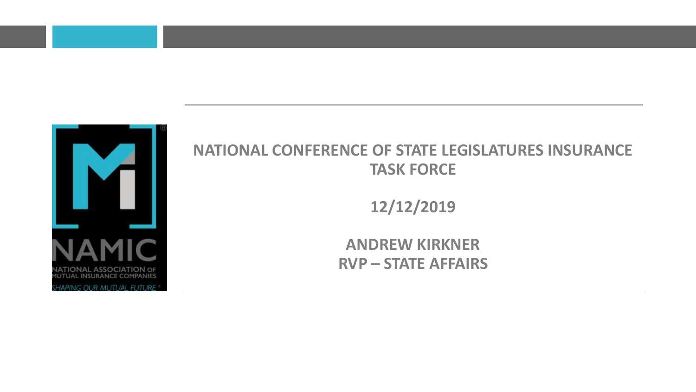

#### **NATIONAL CONFERENCE OF STATE LEGISLATURES INSURANCE TASK FORCE**

**12/12/2019**

**ANDREW KIRKNER RVP – STATE AFFAIRS**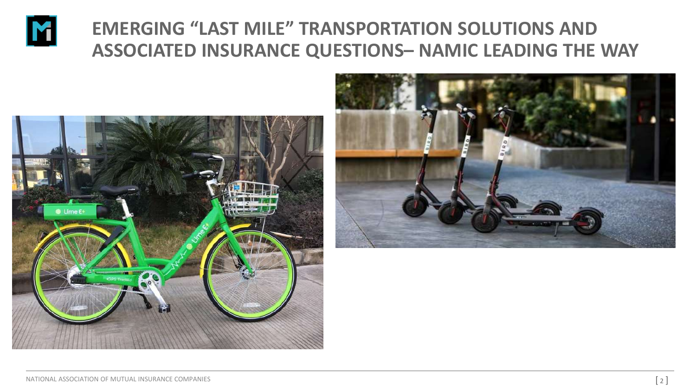

## **EMERGING "LAST MILE" TRANSPORTATION SOLUTIONS AND ASSOCIATED INSURANCE QUESTIONS– NAMIC LEADING THE WAY**



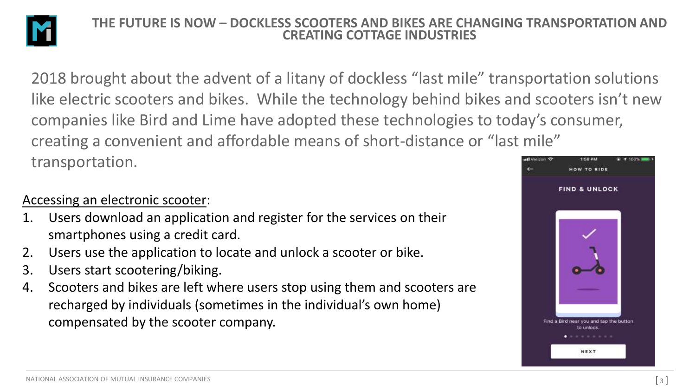

#### **THE FUTURE IS NOW – DOCKLESS SCOOTERS AND BIKES ARE CHANGING TRANSPORTATION AND CREATING COTTAGE INDUSTRIES**

2018 brought about the advent of a litany of dockless "last mile" transportation solutions like electric scooters and bikes. While the technology behind bikes and scooters isn't new companies like Bird and Lime have adopted these technologies to today's consumer, creating a convenient and affordable means of short-distance or "last mile" transportation. HOW TO RIDE

#### Accessing an electronic scooter:

- 1. Users download an application and register for the services on their smartphones using a credit card.
- 2. Users use the application to locate and unlock a scooter or bike.
- 3. Users start scootering/biking.
- 4. Scooters and bikes are left where users stop using them and scooters are recharged by individuals (sometimes in the individual's own home) compensated by the scooter company.

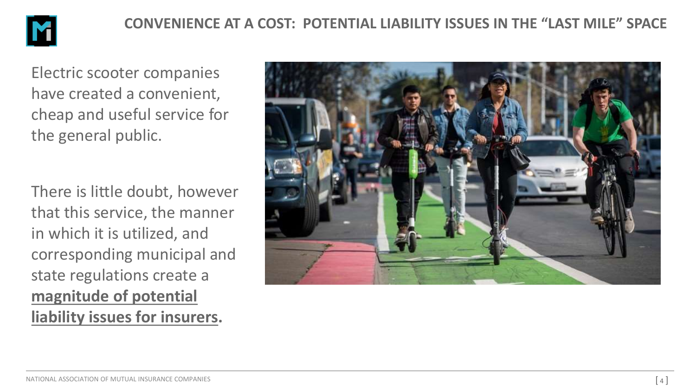

Electric scooter companies have created a convenient, cheap and useful service for the general public.

There is little doubt, however that this service, the manner in which it is utilized, and corresponding municipal and state regulations create a **magnitude of potential liability issues for insurers.**

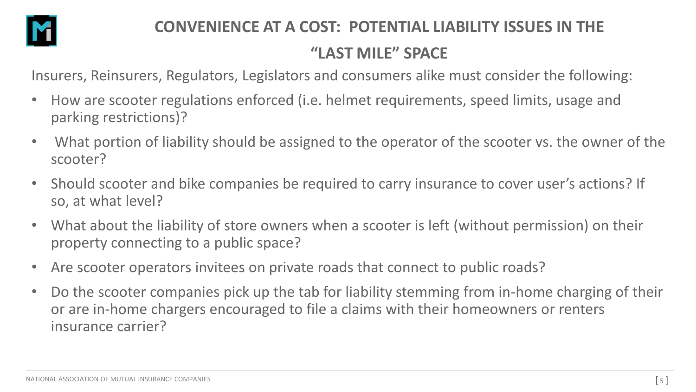

### **CONVENIENCE AT A COST: POTENTIAL LIABILITY ISSUES IN THE "LAST MILE" SPACE**

Insurers, Reinsurers, Regulators, Legislators and consumers alike must consider the following:

- How are scooter regulations enforced (i.e. helmet requirements, speed limits, usage and parking restrictions)?
- What portion of liability should be assigned to the operator of the scooter vs. the owner of the scooter?
- Should scooter and bike companies be required to carry insurance to cover user's actions? If so, at what level?
- What about the liability of store owners when a scooter is left (without permission) on their property connecting to a public space?
- Are scooter operators invitees on private roads that connect to public roads?
- Do the scooter companies pick up the tab for liability stemming from in-home charging of their or are in-home chargers encouraged to file a claims with their homeowners or renters insurance carrier?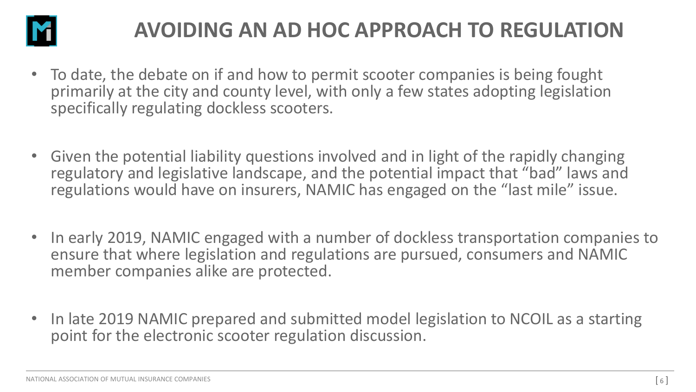

# **AVOIDING AN AD HOC APPROACH TO REGULATION**

- To date, the debate on if and how to permit scooter companies is being fought primarily at the city and county level, with only a few states adopting legislation specifically regulating dockless scooters.
- Given the potential liability questions involved and in light of the rapidly changing regulatory and legislative landscape, and the potential impact that "bad" laws and regulations would have on insurers, NAMIC has engaged on the "last mile" issue.
- In early 2019, NAMIC engaged with a number of dockless transportation companies to ensure that where legislation and regulations are pursued, consumers and NAMIC member companies alike are protected.
- In late 2019 NAMIC prepared and submitted model legislation to NCOIL as a starting point for the electronic scooter regulation discussion.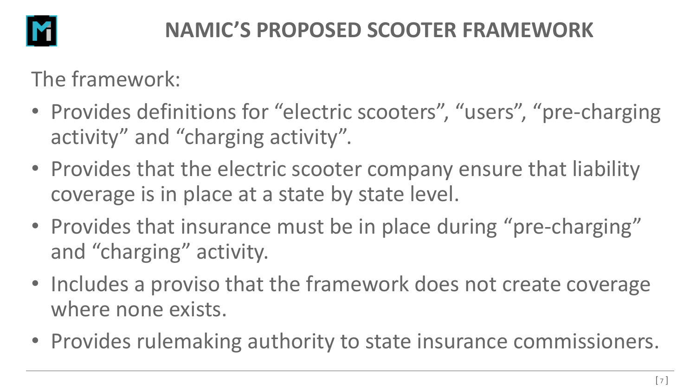

# **NAMIC'S PROPOSED SCOOTER FRAMEWORK**

The framework:

- Provides definitions for "electric scooters", "users", "pre-charging activity" and "charging activity".
- Provides that the electric scooter company ensure that liability coverage is in place at a state by state level.
- Provides that insurance must be in place during "pre-charging" and "charging" activity.
- Includes a proviso that the framework does not create coverage where none exists.
- Provides rulemaking authority to state insurance commissioners.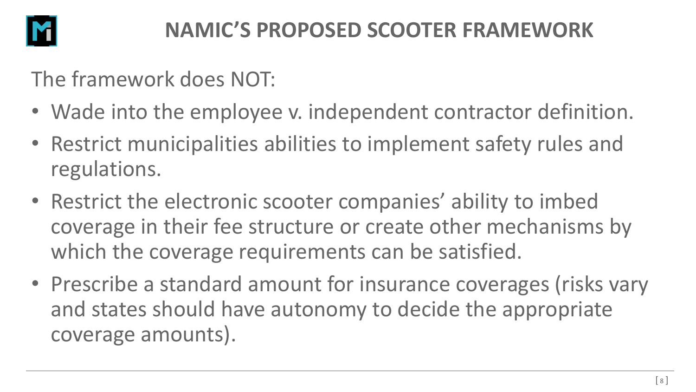

The framework does NOT:

- Wade into the employee v. independent contractor definition.
- Restrict municipalities abilities to implement safety rules and regulations.
- Restrict the electronic scooter companies' ability to imbed coverage in their fee structure or create other mechanisms by which the coverage requirements can be satisfied.
- Prescribe a standard amount for insurance coverages (risks vary and states should have autonomy to decide the appropriate coverage amounts).